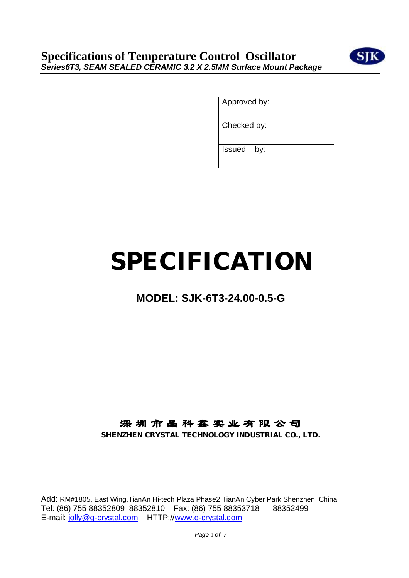

Approved by:

Checked by:

Issued by:

# **SPECIFICATION**

# **MODEL: SJK-6T3-24.00-0.5-G**

# **深 圳 市 晶 科 鑫 实 业 有 限 公 司**

**SHENZHEN CRYSTAL TECHNOLOGY INDUSTRIAL CO., LTD.**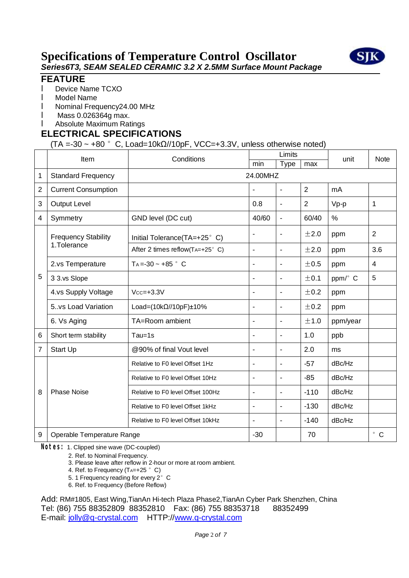

#### **FEATURE**

- **I** Device Name TCXO
- l Model Name
- l Nominal Frequency24.00 MHz
- l Mass 0.026364g max.
- l Absolute Maximum Ratings

#### **ELECTRICAL SPECIFICATIONS**

 $(TA = -30 \sim +80$  ° C, Load=10k $\Omega$ //10pF, VCC=+3.3V, unless otherwise noted)

|                | Item                                      | Conditions                              | Limits         |                |                | unit     | <b>Note</b>    |
|----------------|-------------------------------------------|-----------------------------------------|----------------|----------------|----------------|----------|----------------|
|                |                                           |                                         | min            | <b>Type</b>    | max            |          |                |
| 1              | <b>Standard Frequency</b>                 | 24.00MHZ                                |                |                |                |          |                |
| $\overline{2}$ | <b>Current Consumption</b>                |                                         | ä,             | $\blacksquare$ | 2              | mA       |                |
| 3              | <b>Output Level</b>                       |                                         | 0.8            | $\blacksquare$ | $\overline{2}$ | Vp-p     | 1              |
| 4              | Symmetry                                  | GND level (DC cut)                      | 40/60          | $\blacksquare$ | 60/40          | %        |                |
|                | <b>Frequency Stability</b><br>1.Tolerance | Initial Tolerance(TA=+25°C)             |                | $\blacksquare$ | ±2.0           | ppm      | $\overline{2}$ |
|                |                                           | After 2 times reflow( $TA=+25^\circ$ C) | ä,             | $\blacksquare$ | ±2.0           | ppm      | 3.6            |
|                | 2.vs Temperature                          | $Ta = -30 - +85$ ° C                    | ä,             | $\blacksquare$ | ±0.5           | ppm      | 4              |
| 5              | 3 3.vs Slope                              |                                         | ۰              | $\blacksquare$ | ±0.1           | ppm/° C  | 5              |
|                | 4.vs Supply Voltage                       | $Vcc = +3.3V$                           | ä,             | $\blacksquare$ | ±0.2           | ppm      |                |
|                | 5vs Load Variation                        | Load= $(10k\Omega/10pF) \pm 10\%$       | $\blacksquare$ | $\blacksquare$ | ±0.2           | ppm      |                |
|                | 6. Vs Aging                               | TA=Room ambient                         | ä,             | $\blacksquare$ | ±1.0           | ppm/year |                |
| 6              | Short term stability                      | Tau=1s                                  | ä,             | $\blacksquare$ | 1.0            | ppb      |                |
| 7              | Start Up                                  | @90% of final Vout level                | ä,             | $\blacksquare$ | 2.0            | ms       |                |
| 8              | <b>Phase Noise</b>                        | Relative to F0 level Offset 1Hz         | ÷              | $\blacksquare$ | $-57$          | dBc/Hz   |                |
|                |                                           | Relative to F0 level Offset 10Hz        | ä,             | $\blacksquare$ | $-85$          | dBc/Hz   |                |
|                |                                           | Relative to F0 level Offset 100Hz       | ٠              | $\blacksquare$ | $-110$         | dBc/Hz   |                |
|                |                                           | Relative to F0 level Offset 1kHz        | ÷              | $\blacksquare$ | $-130$         | dBc/Hz   |                |
|                |                                           | Relative to F0 level Offset 10kHz       | ä,             | $\blacksquare$ | $-140$         | dBc/Hz   |                |
| 9              | Operable Temperature Range                |                                         | $-30$          |                | 70             |          | $^{\circ}$ C   |

**Notes:** 1. Clipped sine wave (DC-coupled)

2. Ref. to Nominal Frequency.

3. Please leave after reflow in 2-hour or more at room ambient.

- 4. Ref. to Frequency  $(T_{A=+}25 \degree C)$
- 5. 1 Frequency reading for every 2° C
- 6. Ref. to Frequency (Before Reflow)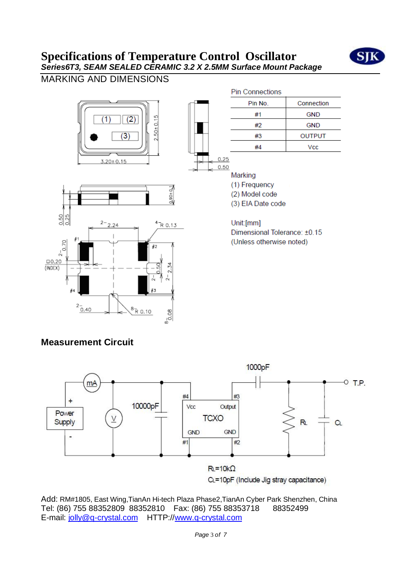

MARKING AND DIMENSIONS



### **Measurement Circuit**

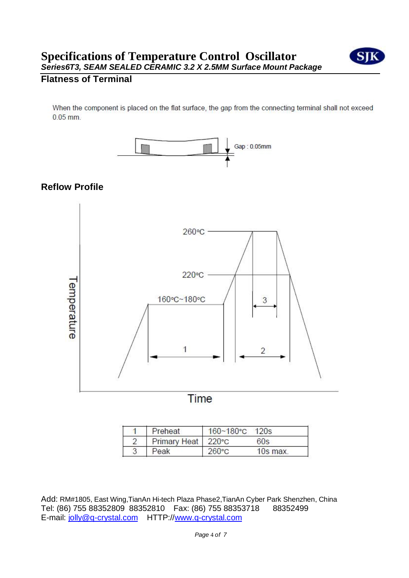

#### **Flatness of Terminal**

When the component is placed on the flat surface, the gap from the connecting terminal shall not exceed  $0.05$  mm.



#### **Reflow Profile**



| Preheat              | $160 - 180$ °C $120s$ |          |
|----------------------|-----------------------|----------|
| Primary Heat   220°C |                       | 60s      |
| eak                  | $260^{\circ}$ C       | 10s max. |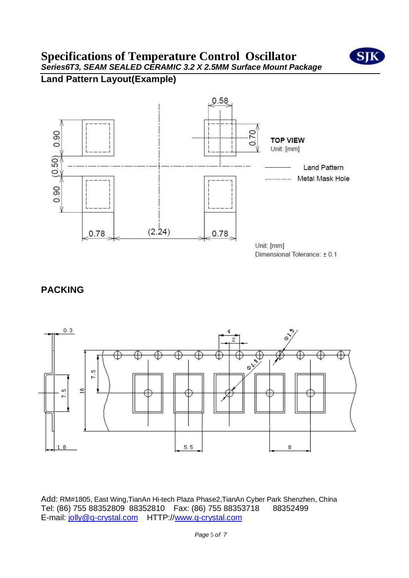

### **Land Pattern Layout(Example)**



### **PACKING**

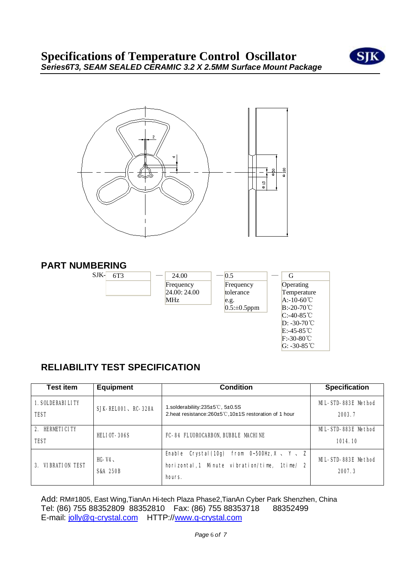



#### **PART NUMBERING**

| Ń)<br>╲ | 6. |
|---------|----|
|         |    |

| 24.00        |
|--------------|
| Frequency    |
| 24.00: 24.00 |
| MHz          |

| 0.5                | G                       |
|--------------------|-------------------------|
| Frequency          | Operating               |
| tolerance          | Temperature             |
| e.g.               | $A:10-60^{\circ}$ C     |
| $0.5: \pm 0.5$ ppm | $B: -20-70^{\circ}$ C   |
|                    | $C:40-85^{\circ}C$      |
|                    | $D: -30-70$ °C          |
|                    | $E: -45 - 85^{\circ}$ C |
|                    | $F: -30-80^{\circ}$ C   |

G: -30-85℃

# **RELIABILITY TEST SPECIFICATION**

| <b>Test item</b><br><b>Equipment</b>                                 |                                 | <b>Condition</b>                                                                                                      | <b>Specification</b>           |
|----------------------------------------------------------------------|---------------------------------|-----------------------------------------------------------------------------------------------------------------------|--------------------------------|
| <b>1. SOLDERABILITY</b><br><b>SJK-RELOO1, RC-328A</b><br><b>TEST</b> |                                 | 1.solderabiliity: $235\pm5\degree$ C, $5\pm0.5\degree$<br>2.heat resistance: 260±5°C, 10±1S restoration of 1 hour     | MIL-STD-883E Method<br>2003.7  |
| 2. HERMETICITY<br><b>HEL10T-306S</b><br><b>TEST</b>                  |                                 | FC-84 FLUOROCARBON, BUBBLE MACHINE                                                                                    | MIL-STD-883E Method<br>1014.10 |
| <b>3. VIBRATION TEST</b>                                             | $HG-V4.$<br><b>S&amp;A 250B</b> | Enable Crystal(10g) from $0\nu$ -500Hz, X $\vee$ Y $\vee$ Z<br>horizontal,1 Minute vibration/time, 1time/ 2<br>hours. | MIL-STD-883E Method<br>2007.3  |